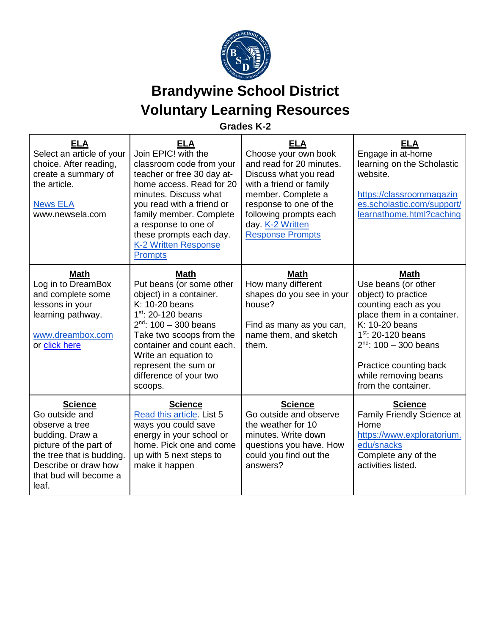

## **Brandywine School District Voluntary Learning Resources**

## **Grades K-2**

| <b>ELA</b><br>Select an article of your<br>choice. After reading,<br>create a summary of<br>the article.<br><b>News ELA</b><br>www.newsela.com                                          | <b>ELA</b><br>Join EPIC! with the<br>classroom code from your<br>teacher or free 30 day at-<br>home access. Read for 20<br>minutes. Discuss what<br>you read with a friend or<br>family member. Complete<br>a response to one of<br>these prompts each day.<br><b>K-2 Written Response</b><br><b>Prompts</b> | <b>ELA</b><br>Choose your own book<br>and read for 20 minutes.<br>Discuss what you read<br>with a friend or family<br>member. Complete a<br>response to one of the<br>following prompts each<br>day. K-2 Written<br><b>Response Prompts</b> | <b>ELA</b><br>Engage in at-home<br>learning on the Scholastic<br>website.<br>https://classroommagazin<br>es.scholastic.com/support/<br>learnathome.html?caching                                                                                                     |
|-----------------------------------------------------------------------------------------------------------------------------------------------------------------------------------------|--------------------------------------------------------------------------------------------------------------------------------------------------------------------------------------------------------------------------------------------------------------------------------------------------------------|---------------------------------------------------------------------------------------------------------------------------------------------------------------------------------------------------------------------------------------------|---------------------------------------------------------------------------------------------------------------------------------------------------------------------------------------------------------------------------------------------------------------------|
| <b>Math</b><br>Log in to DreamBox<br>and complete some<br>lessons in your<br>learning pathway.<br>www.dreambox.com<br>or click here                                                     | <b>Math</b><br>Put beans (or some other<br>object) in a container.<br>K: 10-20 beans<br>$1st$ : 20-120 beans<br>$2nd$ : 100 - 300 beans<br>Take two scoops from the<br>container and count each.<br>Write an equation to<br>represent the sum or<br>difference of your two<br>scoops.                        | <b>Math</b><br>How many different<br>shapes do you see in your<br>house?<br>Find as many as you can,<br>name them, and sketch<br>them.                                                                                                      | <b>Math</b><br>Use beans (or other<br>object) to practice<br>counting each as you<br>place them in a container.<br>K: 10-20 beans<br>$1^{st}$ : 20-120 beans<br>$2^{nd}$ : 100 - 300 beans<br>Practice counting back<br>while removing beans<br>from the container. |
| <b>Science</b><br>Go outside and<br>observe a tree<br>budding. Draw a<br>picture of the part of<br>the tree that is budding.<br>Describe or draw how<br>that bud will become a<br>leaf. | <b>Science</b><br>Read this article. List 5<br>ways you could save<br>energy in your school or<br>home. Pick one and come<br>up with 5 next steps to<br>make it happen                                                                                                                                       | <b>Science</b><br>Go outside and observe<br>the weather for 10<br>minutes. Write down<br>questions you have. How<br>could you find out the<br>answers?                                                                                      | <b>Science</b><br>Family Friendly Science at<br>Home<br>https://www.exploratorium.<br>edu/snacks<br>Complete any of the<br>activities listed.                                                                                                                       |